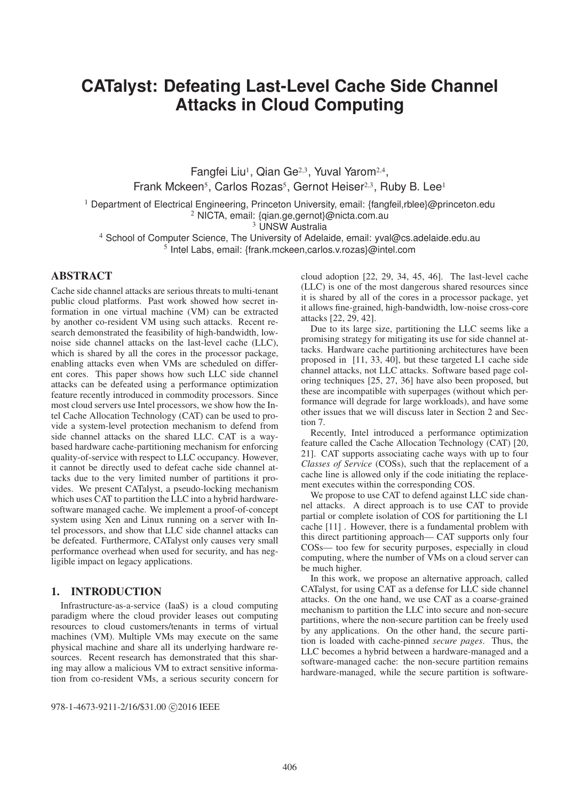# **CATalyst: Defeating Last-Level Cache Side Channel Attacks in Cloud Computing**

Fangfei Liu<sup>1</sup>, Qian Ge<sup>2,3</sup>, Yuval Yarom<sup>2,4</sup>, Frank Mckeen<sup>5</sup>, Carlos Rozas<sup>5</sup>, Gernot Heiser<sup>2,3</sup>, Ruby B. Lee<sup>1</sup>

<sup>1</sup> Department of Electrical Engineering, Princeton University, email: {fangfeil,rblee}@princeton.edu  $2$  NICTA, email: {qian.ge,gernot}@nicta.com.au

<sup>3</sup> UNSW Australia

<sup>4</sup> School of Computer Science, The University of Adelaide, email: yval@cs.adelaide.edu.au <sup>5</sup> Intel Labs, email: {frank.mckeen,carlos.v.rozas}@intel.com

# ABSTRACT

Cache side channel attacks are serious threats to multi-tenant public cloud platforms. Past work showed how secret information in one virtual machine (VM) can be extracted by another co-resident VM using such attacks. Recent research demonstrated the feasibility of high-bandwidth, lownoise side channel attacks on the last-level cache (LLC), which is shared by all the cores in the processor package, enabling attacks even when VMs are scheduled on different cores. This paper shows how such LLC side channel attacks can be defeated using a performance optimization feature recently introduced in commodity processors. Since most cloud servers use Intel processors, we show how the Intel Cache Allocation Technology (CAT) can be used to provide a system-level protection mechanism to defend from side channel attacks on the shared LLC. CAT is a waybased hardware cache-partitioning mechanism for enforcing quality-of-service with respect to LLC occupancy. However, it cannot be directly used to defeat cache side channel attacks due to the very limited number of partitions it provides. We present CATalyst, a pseudo-locking mechanism which uses CAT to partition the LLC into a hybrid hardwaresoftware managed cache. We implement a proof-of-concept system using Xen and Linux running on a server with Intel processors, and show that LLC side channel attacks can be defeated. Furthermore, CATalyst only causes very small performance overhead when used for security, and has negligible impact on legacy applications.

# 1. INTRODUCTION

Infrastructure-as-a-service (IaaS) is a cloud computing paradigm where the cloud provider leases out computing resources to cloud customers/tenants in terms of virtual machines (VM). Multiple VMs may execute on the same physical machine and share all its underlying hardware resources. Recent research has demonstrated that this sharing may allow a malicious VM to extract sensitive information from co-resident VMs, a serious security concern for

978-1-4673-9211-2/16/\$31.00 ©2016 IEEE

cloud adoption [22, 29, 34, 45, 46]. The last-level cache (LLC) is one of the most dangerous shared resources since it is shared by all of the cores in a processor package, yet it allows fine-grained, high-bandwidth, low-noise cross-core attacks [22, 29, 42].

Due to its large size, partitioning the LLC seems like a promising strategy for mitigating its use for side channel attacks. Hardware cache partitioning architectures have been proposed in [11, 33, 40], but these targeted L1 cache side channel attacks, not LLC attacks. Software based page coloring techniques [25, 27, 36] have also been proposed, but these are incompatible with superpages (without which performance will degrade for large workloads), and have some other issues that we will discuss later in Section 2 and Section 7.

Recently, Intel introduced a performance optimization feature called the Cache Allocation Technology (CAT) [20, 21]. CAT supports associating cache ways with up to four *Classes of Service* (COSs), such that the replacement of a cache line is allowed only if the code initiating the replacement executes within the corresponding COS.

We propose to use CAT to defend against LLC side channel attacks. A direct approach is to use CAT to provide partial or complete isolation of COS for partitioning the L1 cache [11] . However, there is a fundamental problem with this direct partitioning approach— CAT supports only four COSs— too few for security purposes, especially in cloud computing, where the number of VMs on a cloud server can be much higher.

In this work, we propose an alternative approach, called CATalyst, for using CAT as a defense for LLC side channel attacks. On the one hand, we use CAT as a coarse-grained mechanism to partition the LLC into secure and non-secure partitions, where the non-secure partition can be freely used by any applications. On the other hand, the secure partition is loaded with cache-pinned *secure pages*. Thus, the LLC becomes a hybrid between a hardware-managed and a software-managed cache: the non-secure partition remains hardware-managed, while the secure partition is software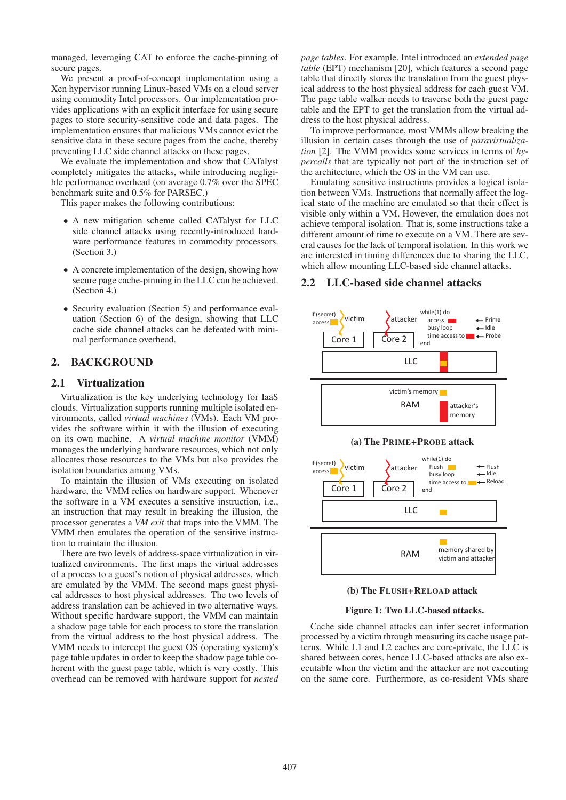managed, leveraging CAT to enforce the cache-pinning of secure pages.

We present a proof-of-concept implementation using a Xen hypervisor running Linux-based VMs on a cloud server using commodity Intel processors. Our implementation provides applications with an explicit interface for using secure pages to store security-sensitive code and data pages. The implementation ensures that malicious VMs cannot evict the sensitive data in these secure pages from the cache, thereby preventing LLC side channel attacks on these pages.

We evaluate the implementation and show that CATalyst completely mitigates the attacks, while introducing negligible performance overhead (on average 0.7% over the SPEC benchmark suite and 0.5% for PARSEC.)

This paper makes the following contributions:

- A new mitigation scheme called CATalyst for LLC side channel attacks using recently-introduced hardware performance features in commodity processors. (Section 3.)
- A concrete implementation of the design, showing how secure page cache-pinning in the LLC can be achieved. (Section 4.)
- Security evaluation (Section 5) and performance evaluation (Section 6) of the design, showing that LLC cache side channel attacks can be defeated with minimal performance overhead.

# 2. BACKGROUND

# 2.1 Virtualization

Virtualization is the key underlying technology for IaaS clouds. Virtualization supports running multiple isolated environments, called *virtual machines* (VMs). Each VM provides the software within it with the illusion of executing on its own machine. A *virtual machine monitor* (VMM) manages the underlying hardware resources, which not only allocates those resources to the VMs but also provides the isolation boundaries among VMs.

To maintain the illusion of VMs executing on isolated hardware, the VMM relies on hardware support. Whenever the software in a VM executes a sensitive instruction, i.e., an instruction that may result in breaking the illusion, the processor generates a *VM exit* that traps into the VMM. The VMM then emulates the operation of the sensitive instruction to maintain the illusion.

There are two levels of address-space virtualization in virtualized environments. The first maps the virtual addresses of a process to a guest's notion of physical addresses, which are emulated by the VMM. The second maps guest physical addresses to host physical addresses. The two levels of address translation can be achieved in two alternative ways. Without specific hardware support, the VMM can maintain a shadow page table for each process to store the translation from the virtual address to the host physical address. The VMM needs to intercept the guest OS (operating system)'s page table updates in order to keep the shadow page table coherent with the guest page table, which is very costly. This overhead can be removed with hardware support for *nested* *page tables*. For example, Intel introduced an *extended page table* (EPT) mechanism [20], which features a second page table that directly stores the translation from the guest physical address to the host physical address for each guest VM. The page table walker needs to traverse both the guest page table and the EPT to get the translation from the virtual address to the host physical address.

To improve performance, most VMMs allow breaking the illusion in certain cases through the use of *paravirtualization* [2]. The VMM provides some services in terms of *hypercalls* that are typically not part of the instruction set of the architecture, which the OS in the VM can use.

Emulating sensitive instructions provides a logical isolation between VMs. Instructions that normally affect the logical state of the machine are emulated so that their effect is visible only within a VM. However, the emulation does not achieve temporal isolation. That is, some instructions take a different amount of time to execute on a VM. There are several causes for the lack of temporal isolation. In this work we are interested in timing differences due to sharing the LLC, which allow mounting LLC-based side channel attacks.

# 2.2 LLC-based side channel attacks





#### (b) The FLUSH+RELOAD attack

#### Figure 1: Two LLC-based attacks.

Cache side channel attacks can infer secret information processed by a victim through measuring its cache usage patterns. While L1 and L2 caches are core-private, the LLC is shared between cores, hence LLC-based attacks are also executable when the victim and the attacker are not executing on the same core. Furthermore, as co-resident VMs share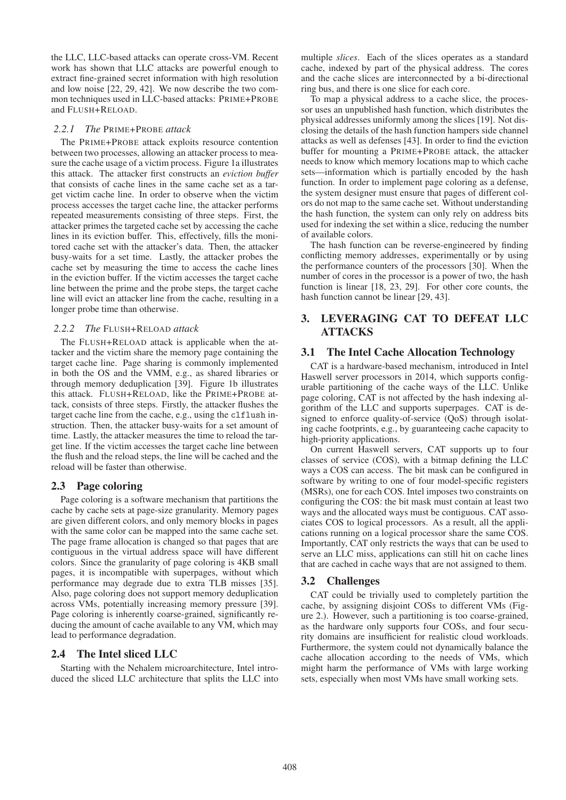the LLC, LLC-based attacks can operate cross-VM. Recent work has shown that LLC attacks are powerful enough to extract fine-grained secret information with high resolution and low noise [22, 29, 42]. We now describe the two common techniques used in LLC-based attacks: PRIME+PROBE and FLUSH+RELOAD.

#### *2.2.1 The* PRIME+PROBE *attack*

The PRIME+PROBE attack exploits resource contention between two processes, allowing an attacker process to measure the cache usage of a victim process. Figure 1a illustrates this attack. The attacker first constructs an *eviction buffer* that consists of cache lines in the same cache set as a target victim cache line. In order to observe when the victim process accesses the target cache line, the attacker performs repeated measurements consisting of three steps. First, the attacker primes the targeted cache set by accessing the cache lines in its eviction buffer. This, effectively, fills the monitored cache set with the attacker's data. Then, the attacker busy-waits for a set time. Lastly, the attacker probes the cache set by measuring the time to access the cache lines in the eviction buffer. If the victim accesses the target cache line between the prime and the probe steps, the target cache line will evict an attacker line from the cache, resulting in a longer probe time than otherwise.

### *2.2.2 The* FLUSH+RELOAD *attack*

The FLUSH+RELOAD attack is applicable when the attacker and the victim share the memory page containing the target cache line. Page sharing is commonly implemented in both the OS and the VMM, e.g., as shared libraries or through memory deduplication [39]. Figure 1b illustrates this attack. FLUSH+RELOAD, like the PRIME+PROBE attack, consists of three steps. Firstly, the attacker flushes the target cache line from the cache, e.g., using the clflush instruction. Then, the attacker busy-waits for a set amount of time. Lastly, the attacker measures the time to reload the target line. If the victim accesses the target cache line between the flush and the reload steps, the line will be cached and the reload will be faster than otherwise.

### 2.3 Page coloring

Page coloring is a software mechanism that partitions the cache by cache sets at page-size granularity. Memory pages are given different colors, and only memory blocks in pages with the same color can be mapped into the same cache set. The page frame allocation is changed so that pages that are contiguous in the virtual address space will have different colors. Since the granularity of page coloring is 4KB small pages, it is incompatible with superpages, without which performance may degrade due to extra TLB misses [35]. Also, page coloring does not support memory deduplication across VMs, potentially increasing memory pressure [39]. Page coloring is inherently coarse-grained, significantly reducing the amount of cache available to any VM, which may lead to performance degradation.

# 2.4 The Intel sliced LLC

Starting with the Nehalem microarchitecture, Intel introduced the sliced LLC architecture that splits the LLC into

multiple *slices*. Each of the slices operates as a standard cache, indexed by part of the physical address. The cores and the cache slices are interconnected by a bi-directional ring bus, and there is one slice for each core.

To map a physical address to a cache slice, the processor uses an unpublished hash function, which distributes the physical addresses uniformly among the slices [19]. Not disclosing the details of the hash function hampers side channel attacks as well as defenses [43]. In order to find the eviction buffer for mounting a PRIME+PROBE attack, the attacker needs to know which memory locations map to which cache sets—information which is partially encoded by the hash function. In order to implement page coloring as a defense, the system designer must ensure that pages of different colors do not map to the same cache set. Without understanding the hash function, the system can only rely on address bits used for indexing the set within a slice, reducing the number of available colors.

The hash function can be reverse-engineered by finding conflicting memory addresses, experimentally or by using the performance counters of the processors [30]. When the number of cores in the processor is a power of two, the hash function is linear [18, 23, 29]. For other core counts, the hash function cannot be linear [29, 43].

# 3. LEVERAGING CAT TO DEFEAT LLC **ATTACKS**

### 3.1 The Intel Cache Allocation Technology

CAT is a hardware-based mechanism, introduced in Intel Haswell server processors in 2014, which supports configurable partitioning of the cache ways of the LLC. Unlike page coloring, CAT is not affected by the hash indexing algorithm of the LLC and supports superpages. CAT is designed to enforce quality-of-service (QoS) through isolating cache footprints, e.g., by guaranteeing cache capacity to high-priority applications.

On current Haswell servers, CAT supports up to four classes of service (COS), with a bitmap defining the LLC ways a COS can access. The bit mask can be configured in software by writing to one of four model-specific registers (MSRs), one for each COS. Intel imposes two constraints on configuring the COS: the bit mask must contain at least two ways and the allocated ways must be contiguous. CAT associates COS to logical processors. As a result, all the applications running on a logical processor share the same COS. Importantly, CAT only restricts the ways that can be used to serve an LLC miss, applications can still hit on cache lines that are cached in cache ways that are not assigned to them.

# 3.2 Challenges

CAT could be trivially used to completely partition the cache, by assigning disjoint COSs to different VMs (Figure 2.). However, such a partitioning is too coarse-grained, as the hardware only supports four COSs, and four security domains are insufficient for realistic cloud workloads. Furthermore, the system could not dynamically balance the cache allocation according to the needs of VMs, which might harm the performance of VMs with large working sets, especially when most VMs have small working sets.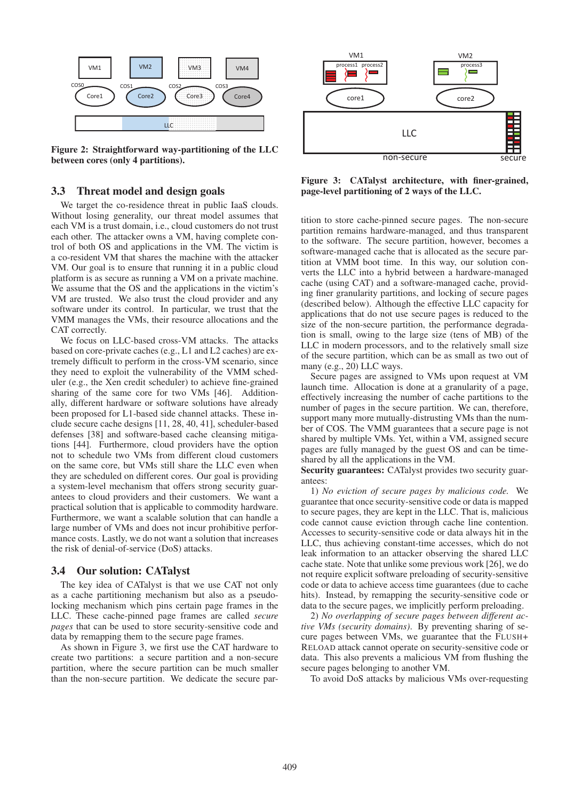

Figure 2: Straightforward way-partitioning of the LLC between cores (only 4 partitions).

### 3.3 Threat model and design goals

We target the co-residence threat in public IaaS clouds. Without losing generality, our threat model assumes that each VM is a trust domain, i.e., cloud customers do not trust each other. The attacker owns a VM, having complete control of both OS and applications in the VM. The victim is a co-resident VM that shares the machine with the attacker VM. Our goal is to ensure that running it in a public cloud platform is as secure as running a VM on a private machine. We assume that the OS and the applications in the victim's VM are trusted. We also trust the cloud provider and any software under its control. In particular, we trust that the VMM manages the VMs, their resource allocations and the CAT correctly.

We focus on LLC-based cross-VM attacks. The attacks based on core-private caches (e.g., L1 and L2 caches) are extremely difficult to perform in the cross-VM scenario, since they need to exploit the vulnerability of the VMM scheduler (e.g., the Xen credit scheduler) to achieve fine-grained sharing of the same core for two VMs [46]. Additionally, different hardware or software solutions have already been proposed for L1-based side channel attacks. These include secure cache designs [11, 28, 40, 41], scheduler-based defenses [38] and software-based cache cleansing mitigations [44]. Furthermore, cloud providers have the option not to schedule two VMs from different cloud customers on the same core, but VMs still share the LLC even when they are scheduled on different cores. Our goal is providing a system-level mechanism that offers strong security guarantees to cloud providers and their customers. We want a practical solution that is applicable to commodity hardware. Furthermore, we want a scalable solution that can handle a large number of VMs and does not incur prohibitive performance costs. Lastly, we do not want a solution that increases the risk of denial-of-service (DoS) attacks.

### 3.4 Our solution: CATalyst

The key idea of CATalyst is that we use CAT not only as a cache partitioning mechanism but also as a pseudolocking mechanism which pins certain page frames in the LLC. These cache-pinned page frames are called *secure pages* that can be used to store security-sensitive code and data by remapping them to the secure page frames.

As shown in Figure 3, we first use the CAT hardware to create two partitions: a secure partition and a non-secure partition, where the secure partition can be much smaller than the non-secure partition. We dedicate the secure par-



Figure 3: CATalyst architecture, with finer-grained, page-level partitioning of 2 ways of the LLC.

tition to store cache-pinned secure pages. The non-secure partition remains hardware-managed, and thus transparent to the software. The secure partition, however, becomes a software-managed cache that is allocated as the secure partition at VMM boot time. In this way, our solution converts the LLC into a hybrid between a hardware-managed cache (using CAT) and a software-managed cache, providing finer granularity partitions, and locking of secure pages (described below). Although the effective LLC capacity for applications that do not use secure pages is reduced to the size of the non-secure partition, the performance degradation is small, owing to the large size (tens of MB) of the LLC in modern processors, and to the relatively small size of the secure partition, which can be as small as two out of many (e.g., 20) LLC ways.

Secure pages are assigned to VMs upon request at VM launch time. Allocation is done at a granularity of a page, effectively increasing the number of cache partitions to the number of pages in the secure partition. We can, therefore, support many more mutually-distrusting VMs than the number of COS. The VMM guarantees that a secure page is not shared by multiple VMs. Yet, within a VM, assigned secure pages are fully managed by the guest OS and can be timeshared by all the applications in the VM.

Security guarantees: CATalyst provides two security guarantees:

1) *No eviction of secure pages by malicious code.* We guarantee that once security-sensitive code or data is mapped to secure pages, they are kept in the LLC. That is, malicious code cannot cause eviction through cache line contention. Accesses to security-sensitive code or data always hit in the LLC, thus achieving constant-time accesses, which do not leak information to an attacker observing the shared LLC cache state. Note that unlike some previous work [26], we do not require explicit software preloading of security-sensitive code or data to achieve access time guarantees (due to cache hits). Instead, by remapping the security-sensitive code or data to the secure pages, we implicitly perform preloading.

2) *No overlapping of secure pages between different active VMs (security domains)*. By preventing sharing of secure pages between VMs, we guarantee that the FLUSH+ RELOAD attack cannot operate on security-sensitive code or data. This also prevents a malicious VM from flushing the secure pages belonging to another VM.

To avoid DoS attacks by malicious VMs over-requesting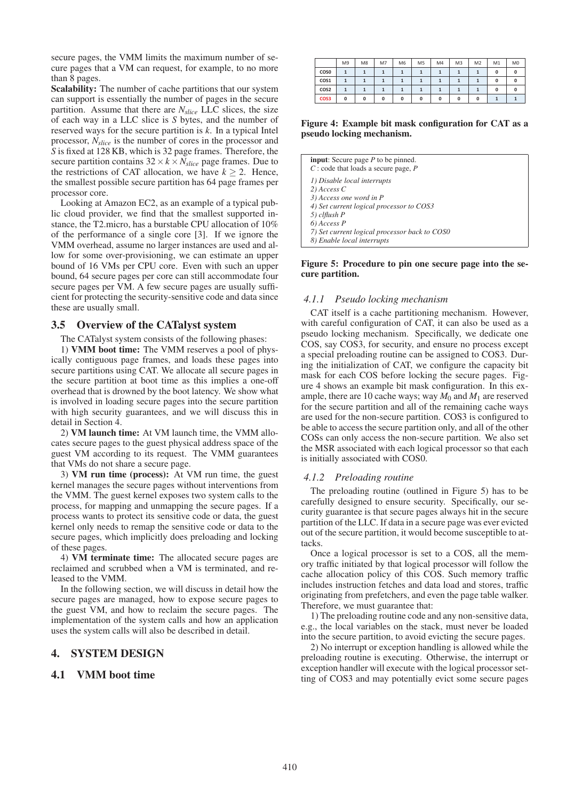secure pages, the VMM limits the maximum number of secure pages that a VM can request, for example, to no more than 8 pages.

Scalability: The number of cache partitions that our system can support is essentially the number of pages in the secure partition. Assume that there are *Nslice* LLC slices, the size of each way in a LLC slice is *S* bytes, and the number of reserved ways for the secure partition is *k*. In a typical Intel processor, *Nslice* is the number of cores in the processor and *S* is fixed at 128 KB, which is 32 page frames. Therefore, the secure partition contains  $32 \times k \times N_{slice}$  page frames. Due to the restrictions of CAT allocation, we have  $k > 2$ . Hence, the smallest possible secure partition has 64 page frames per processor core.

Looking at Amazon EC2, as an example of a typical public cloud provider, we find that the smallest supported instance, the T2.micro, has a burstable CPU allocation of 10% of the performance of a single core [3]. If we ignore the VMM overhead, assume no larger instances are used and allow for some over-provisioning, we can estimate an upper bound of 16 VMs per CPU core. Even with such an upper bound, 64 secure pages per core can still accommodate four secure pages per VM. A few secure pages are usually sufficient for protecting the security-sensitive code and data since these are usually small.

### 3.5 Overview of the CATalyst system

The CATalyst system consists of the following phases:

1) VMM boot time: The VMM reserves a pool of physically contiguous page frames, and loads these pages into secure partitions using CAT. We allocate all secure pages in the secure partition at boot time as this implies a one-off overhead that is drowned by the boot latency. We show what is involved in loading secure pages into the secure partition with high security guarantees, and we will discuss this in detail in Section 4.

2) VM launch time: At VM launch time, the VMM allocates secure pages to the guest physical address space of the guest VM according to its request. The VMM guarantees that VMs do not share a secure page.

3) VM run time (process): At VM run time, the guest kernel manages the secure pages without interventions from the VMM. The guest kernel exposes two system calls to the process, for mapping and unmapping the secure pages. If a process wants to protect its sensitive code or data, the guest kernel only needs to remap the sensitive code or data to the secure pages, which implicitly does preloading and locking of these pages.

4) VM terminate time: The allocated secure pages are reclaimed and scrubbed when a VM is terminated, and released to the VMM.

In the following section, we will discuss in detail how the secure pages are managed, how to expose secure pages to the guest VM, and how to reclaim the secure pages. The implementation of the system calls and how an application uses the system calls will also be described in detail.

# 4. SYSTEM DESIGN

### 4.1 VMM boot time

|                  | M <sub>9</sub> | M <sub>8</sub> | M7 | M <sub>6</sub> | M <sub>5</sub> | M4 | M <sub>3</sub> | M <sub>2</sub> | M1 | M <sub>0</sub> |
|------------------|----------------|----------------|----|----------------|----------------|----|----------------|----------------|----|----------------|
| CO <sub>SO</sub> | 1              |                |    |                |                | 1  | $\mathbf{1}$   |                | 0  |                |
| COS1             |                |                |    |                |                |    |                |                | 0  |                |
| COS <sub>2</sub> |                |                |    |                |                | 1  |                |                | 0  |                |
| COS3             | 0              | 0              | 0  | 0              | 0              | 0  | 0              | 0              |    |                |

Figure 4: Example bit mask configuration for CAT as a pseudo locking mechanism.

Figure 5: Procedure to pin one secure page into the secure partition.

#### *4.1.1 Pseudo locking mechanism*

CAT itself is a cache partitioning mechanism. However, with careful configuration of CAT, it can also be used as a pseudo locking mechanism. Specifically, we dedicate one COS, say COS3, for security, and ensure no process except a special preloading routine can be assigned to COS3. During the initialization of CAT, we configure the capacity bit mask for each COS before locking the secure pages. Figure 4 shows an example bit mask configuration. In this example, there are 10 cache ways; way  $M_0$  and  $M_1$  are reserved for the secure partition and all of the remaining cache ways are used for the non-secure partition. COS3 is configured to be able to access the secure partition only, and all of the other COSs can only access the non-secure partition. We also set the MSR associated with each logical processor so that each is initially associated with COS0.

#### *4.1.2 Preloading routine*

The preloading routine (outlined in Figure 5) has to be carefully designed to ensure security. Specifically, our security guarantee is that secure pages always hit in the secure partition of the LLC. If data in a secure page was ever evicted out of the secure partition, it would become susceptible to attacks.

Once a logical processor is set to a COS, all the memory traffic initiated by that logical processor will follow the cache allocation policy of this COS. Such memory traffic includes instruction fetches and data load and stores, traffic originating from prefetchers, and even the page table walker. Therefore, we must guarantee that:

1) The preloading routine code and any non-sensitive data, e.g., the local variables on the stack, must never be loaded into the secure partition, to avoid evicting the secure pages.

2) No interrupt or exception handling is allowed while the preloading routine is executing. Otherwise, the interrupt or exception handler will execute with the logical processor setting of COS3 and may potentially evict some secure pages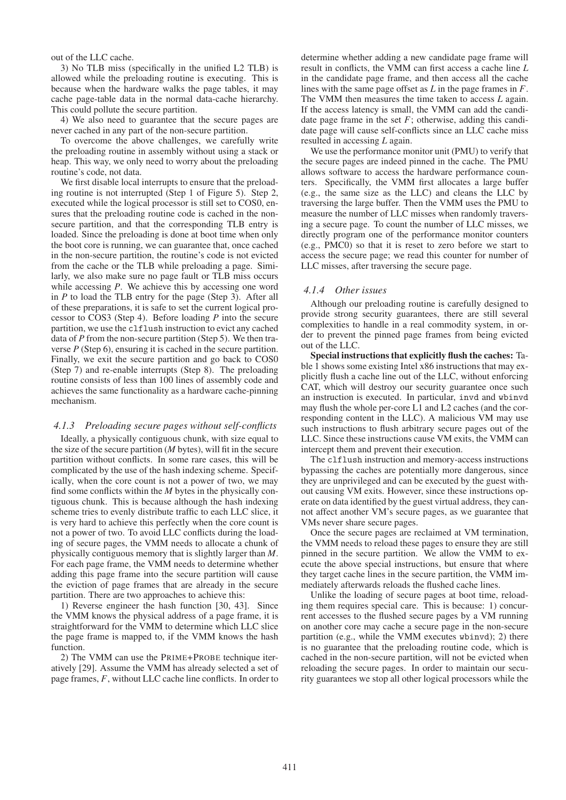out of the LLC cache.

3) No TLB miss (specifically in the unified L2 TLB) is allowed while the preloading routine is executing. This is because when the hardware walks the page tables, it may cache page-table data in the normal data-cache hierarchy. This could pollute the secure partition.

4) We also need to guarantee that the secure pages are never cached in any part of the non-secure partition.

To overcome the above challenges, we carefully write the preloading routine in assembly without using a stack or heap. This way, we only need to worry about the preloading routine's code, not data.

We first disable local interrupts to ensure that the preloading routine is not interrupted (Step 1 of Figure 5). Step 2, executed while the logical processor is still set to COS0, ensures that the preloading routine code is cached in the nonsecure partition, and that the corresponding TLB entry is loaded. Since the preloading is done at boot time when only the boot core is running, we can guarantee that, once cached in the non-secure partition, the routine's code is not evicted from the cache or the TLB while preloading a page. Similarly, we also make sure no page fault or TLB miss occurs while accessing *P*. We achieve this by accessing one word in *P* to load the TLB entry for the page (Step 3). After all of these preparations, it is safe to set the current logical processor to COS3 (Step 4). Before loading *P* into the secure partition, we use the clflush instruction to evict any cached data of *P* from the non-secure partition (Step 5). We then traverse *P* (Step 6), ensuring it is cached in the secure partition. Finally, we exit the secure partition and go back to COS0 (Step 7) and re-enable interrupts (Step 8). The preloading routine consists of less than 100 lines of assembly code and achieves the same functionality as a hardware cache-pinning mechanism.

### *4.1.3 Preloading secure pages without self-conflicts*

Ideally, a physically contiguous chunk, with size equal to the size of the secure partition (*M* bytes), will fit in the secure partition without conflicts. In some rare cases, this will be complicated by the use of the hash indexing scheme. Specifically, when the core count is not a power of two, we may find some conflicts within the *M* bytes in the physically contiguous chunk. This is because although the hash indexing scheme tries to evenly distribute traffic to each LLC slice, it is very hard to achieve this perfectly when the core count is not a power of two. To avoid LLC conflicts during the loading of secure pages, the VMM needs to allocate a chunk of physically contiguous memory that is slightly larger than *M*. For each page frame, the VMM needs to determine whether adding this page frame into the secure partition will cause the eviction of page frames that are already in the secure partition. There are two approaches to achieve this:

1) Reverse engineer the hash function [30, 43]. Since the VMM knows the physical address of a page frame, it is straightforward for the VMM to determine which LLC slice the page frame is mapped to, if the VMM knows the hash function.

2) The VMM can use the PRIME+PROBE technique iteratively [29]. Assume the VMM has already selected a set of page frames, *F*, without LLC cache line conflicts. In order to

determine whether adding a new candidate page frame will result in conflicts, the VMM can first access a cache line *L* in the candidate page frame, and then access all the cache lines with the same page offset as *L* in the page frames in *F*. The VMM then measures the time taken to access *L* again. If the access latency is small, the VMM can add the candidate page frame in the set *F*; otherwise, adding this candidate page will cause self-conflicts since an LLC cache miss resulted in accessing *L* again.

We use the performance monitor unit (PMU) to verify that the secure pages are indeed pinned in the cache. The PMU allows software to access the hardware performance counters. Specifically, the VMM first allocates a large buffer (e.g., the same size as the LLC) and cleans the LLC by traversing the large buffer. Then the VMM uses the PMU to measure the number of LLC misses when randomly traversing a secure page. To count the number of LLC misses, we directly program one of the performance monitor counters (e.g., PMC0) so that it is reset to zero before we start to access the secure page; we read this counter for number of LLC misses, after traversing the secure page.

#### *4.1.4 Other issues*

Although our preloading routine is carefully designed to provide strong security guarantees, there are still several complexities to handle in a real commodity system, in order to prevent the pinned page frames from being evicted out of the LLC.

Special instructions that explicitly flush the caches: Table 1 shows some existing Intel x86 instructions that may explicitly flush a cache line out of the LLC, without enforcing CAT, which will destroy our security guarantee once such an instruction is executed. In particular, invd and wbinvd may flush the whole per-core L1 and L2 caches (and the corresponding content in the LLC). A malicious VM may use such instructions to flush arbitrary secure pages out of the LLC. Since these instructions cause VM exits, the VMM can intercept them and prevent their execution.

The clflush instruction and memory-access instructions bypassing the caches are potentially more dangerous, since they are unprivileged and can be executed by the guest without causing VM exits. However, since these instructions operate on data identified by the guest virtual address, they cannot affect another VM's secure pages, as we guarantee that VMs never share secure pages.

Once the secure pages are reclaimed at VM termination, the VMM needs to reload these pages to ensure they are still pinned in the secure partition. We allow the VMM to execute the above special instructions, but ensure that where they target cache lines in the secure partition, the VMM immediately afterwards reloads the flushed cache lines.

Unlike the loading of secure pages at boot time, reloading them requires special care. This is because: 1) concurrent accesses to the flushed secure pages by a VM running on another core may cache a secure page in the non-secure partition (e.g., while the VMM executes wbinvd); 2) there is no guarantee that the preloading routine code, which is cached in the non-secure partition, will not be evicted when reloading the secure pages. In order to maintain our security guarantees we stop all other logical processors while the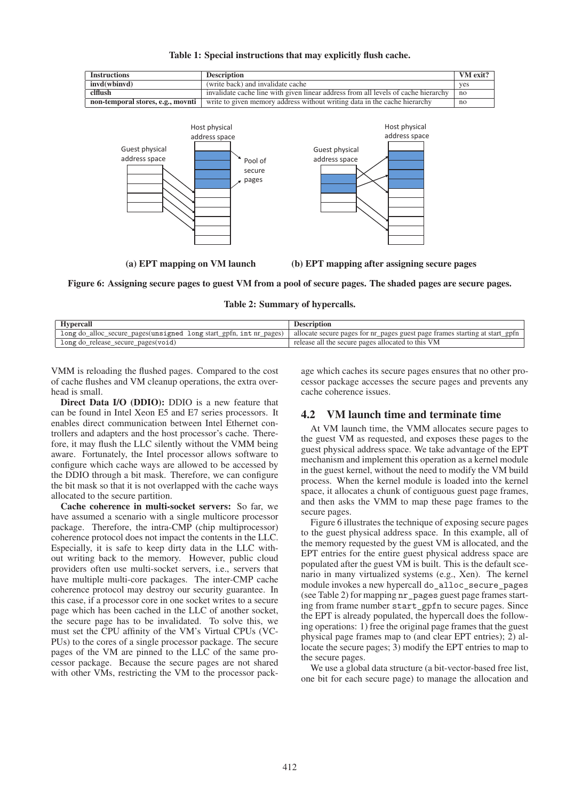

Table 1: Special instructions that may explicitly flush cache.



(a) EPT mapping on VM launch

(b) EPT mapping after assigning secure pages

Figure 6: Assigning secure pages to guest VM from a pool of secure pages. The shaded pages are secure pages.

Table 2: Summary of hypercalls.

| <b>Hypercall</b>                                                   | <b>Description</b>                                                          |
|--------------------------------------------------------------------|-----------------------------------------------------------------------------|
| long do_alloc_secure_pages(unsigned long start_gpfn, int nr_pages) | allocate secure pages for nr_pages guest page frames starting at start_gpfn |
| long do_release_secure_pages(void)                                 | t release all the secure pages allocated to this VM                         |

VMM is reloading the flushed pages. Compared to the cost of cache flushes and VM cleanup operations, the extra overhead is small.

Direct Data I/O (DDIO): DDIO is a new feature that can be found in Intel Xeon E5 and E7 series processors. It enables direct communication between Intel Ethernet controllers and adapters and the host processor's cache. Therefore, it may flush the LLC silently without the VMM being aware. Fortunately, the Intel processor allows software to configure which cache ways are allowed to be accessed by the DDIO through a bit mask. Therefore, we can configure the bit mask so that it is not overlapped with the cache ways allocated to the secure partition.

Cache coherence in multi-socket servers: So far, we have assumed a scenario with a single multicore processor package. Therefore, the intra-CMP (chip multiprocessor) coherence protocol does not impact the contents in the LLC. Especially, it is safe to keep dirty data in the LLC without writing back to the memory. However, public cloud providers often use multi-socket servers, i.e., servers that have multiple multi-core packages. The inter-CMP cache coherence protocol may destroy our security guarantee. In this case, if a processor core in one socket writes to a secure page which has been cached in the LLC of another socket, the secure page has to be invalidated. To solve this, we must set the CPU affinity of the VM's Virtual CPUs (VC-PUs) to the cores of a single processor package. The secure pages of the VM are pinned to the LLC of the same processor package. Because the secure pages are not shared with other VMs, restricting the VM to the processor package which caches its secure pages ensures that no other processor package accesses the secure pages and prevents any cache coherence issues.

# 4.2 VM launch time and terminate time

At VM launch time, the VMM allocates secure pages to the guest VM as requested, and exposes these pages to the guest physical address space. We take advantage of the EPT mechanism and implement this operation as a kernel module in the guest kernel, without the need to modify the VM build process. When the kernel module is loaded into the kernel space, it allocates a chunk of contiguous guest page frames, and then asks the VMM to map these page frames to the secure pages.

Figure 6 illustrates the technique of exposing secure pages to the guest physical address space. In this example, all of the memory requested by the guest VM is allocated, and the EPT entries for the entire guest physical address space are populated after the guest VM is built. This is the default scenario in many virtualized systems (e.g., Xen). The kernel module invokes a new hypercall do\_alloc\_secure\_pages (see Table 2) for mapping nr\_pages guest page frames starting from frame number start\_gpfn to secure pages. Since the EPT is already populated, the hypercall does the following operations: 1) free the original page frames that the guest physical page frames map to (and clear EPT entries); 2) allocate the secure pages; 3) modify the EPT entries to map to the secure pages.

We use a global data structure (a bit-vector-based free list, one bit for each secure page) to manage the allocation and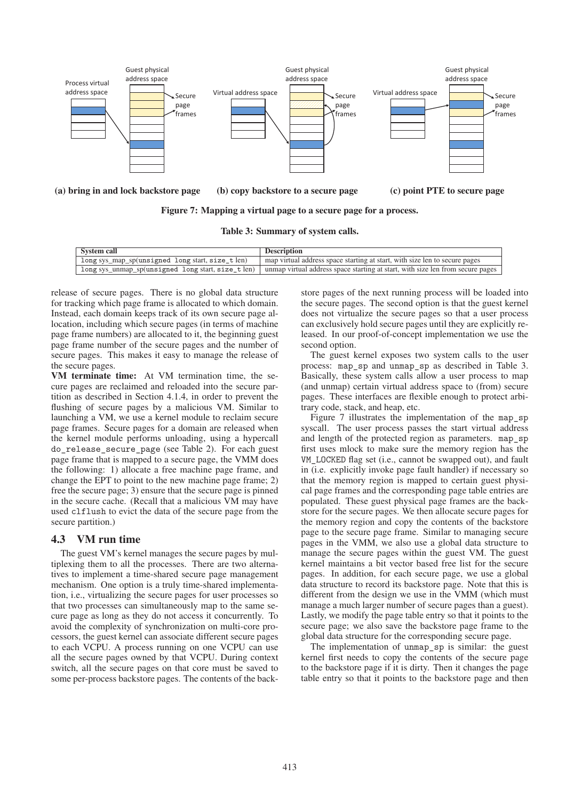

(a) bring in and lock backstore page (b) copy backstore to a secure page (c) point PTE to secure page

#### Figure 7: Mapping a virtual page to a secure page for a process.

#### Table 3: Summary of system calls.

| <b>System call</b>                                  | <b>Description</b>                                                             |
|-----------------------------------------------------|--------------------------------------------------------------------------------|
| long sys_map_sp(unsigned long start, size_ $t$ len) | map virtual address space starting at start, with size len to secure pages     |
| long sys_unmap_sp(unsigned long start, size_t len)  | unmap virtual address space starting at start, with size len from secure pages |

release of secure pages. There is no global data structure for tracking which page frame is allocated to which domain. Instead, each domain keeps track of its own secure page allocation, including which secure pages (in terms of machine page frame numbers) are allocated to it, the beginning guest page frame number of the secure pages and the number of secure pages. This makes it easy to manage the release of the secure pages.

VM terminate time: At VM termination time, the secure pages are reclaimed and reloaded into the secure partition as described in Section 4.1.4, in order to prevent the flushing of secure pages by a malicious VM. Similar to launching a VM, we use a kernel module to reclaim secure page frames. Secure pages for a domain are released when the kernel module performs unloading, using a hypercall do\_release\_secure\_page (see Table 2). For each guest page frame that is mapped to a secure page, the VMM does the following: 1) allocate a free machine page frame, and change the EPT to point to the new machine page frame; 2) free the secure page; 3) ensure that the secure page is pinned in the secure cache. (Recall that a malicious VM may have used clflush to evict the data of the secure page from the secure partition.)

# 4.3 VM run time

The guest VM's kernel manages the secure pages by multiplexing them to all the processes. There are two alternatives to implement a time-shared secure page management mechanism. One option is a truly time-shared implementation, i.e., virtualizing the secure pages for user processes so that two processes can simultaneously map to the same secure page as long as they do not access it concurrently. To avoid the complexity of synchronization on multi-core processors, the guest kernel can associate different secure pages to each VCPU. A process running on one VCPU can use all the secure pages owned by that VCPU. During context switch, all the secure pages on that core must be saved to some per-process backstore pages. The contents of the back-

store pages of the next running process will be loaded into the secure pages. The second option is that the guest kernel does not virtualize the secure pages so that a user process can exclusively hold secure pages until they are explicitly released. In our proof-of-concept implementation we use the second option.

The guest kernel exposes two system calls to the user process: map\_sp and unmap\_sp as described in Table 3. Basically, these system calls allow a user process to map (and unmap) certain virtual address space to (from) secure pages. These interfaces are flexible enough to protect arbitrary code, stack, and heap, etc.

Figure 7 illustrates the implementation of the map\_sp syscall. The user process passes the start virtual address and length of the protected region as parameters. map\_sp first uses mlock to make sure the memory region has the VM\_LOCKED flag set (i.e., cannot be swapped out), and fault in (i.e. explicitly invoke page fault handler) if necessary so that the memory region is mapped to certain guest physical page frames and the corresponding page table entries are populated. These guest physical page frames are the backstore for the secure pages. We then allocate secure pages for the memory region and copy the contents of the backstore page to the secure page frame. Similar to managing secure pages in the VMM, we also use a global data structure to manage the secure pages within the guest VM. The guest kernel maintains a bit vector based free list for the secure pages. In addition, for each secure page, we use a global data structure to record its backstore page. Note that this is different from the design we use in the VMM (which must manage a much larger number of secure pages than a guest). Lastly, we modify the page table entry so that it points to the secure page; we also save the backstore page frame to the global data structure for the corresponding secure page.

The implementation of unmap\_sp is similar: the guest kernel first needs to copy the contents of the secure page to the backstore page if it is dirty. Then it changes the page table entry so that it points to the backstore page and then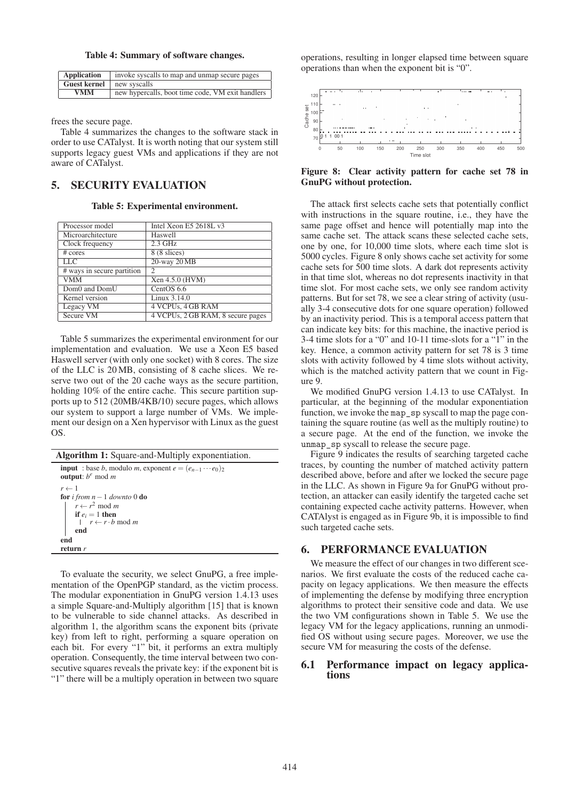#### Table 4: Summary of software changes.

| <b>Application</b>                 | invoke syscalls to map and unmap secure pages    |
|------------------------------------|--------------------------------------------------|
| <b>Guest kernel</b>   new syscalls |                                                  |
| VMM                                | new hypercalls, boot time code, VM exit handlers |

frees the secure page.

Table 4 summarizes the changes to the software stack in order to use CATalyst. It is worth noting that our system still supports legacy guest VMs and applications if they are not aware of CATalyst.

# 5. SECURITY EVALUATION

Table 5: Experimental environment.

| Processor model            | Intel Xeon E5 2618L v3            |
|----------------------------|-----------------------------------|
| Microarchitecture          | Haswell                           |
| Clock frequency            | $2.3$ GHz                         |
| # cores                    | 8 (8 slices)                      |
| LLC                        | 20-way 20 MB                      |
| # ways in secure partition | 2                                 |
| <b>VMM</b>                 | Xen $4.5.0$ (HVM)                 |
| Dom0 and DomU              | CentOS <sub>6.6</sub>             |
| Kernel version             | Linux $3.14.0$                    |
| Legacy $\sqrt{M}$          | 4 VCPUs, 4 GB RAM                 |
| Secure VM                  | 4 VCPUs, 2 GB RAM, 8 secure pages |

Table 5 summarizes the experimental environment for our implementation and evaluation. We use a Xeon E5 based Haswell server (with only one socket) with 8 cores. The size of the LLC is 20 MB, consisting of 8 cache slices. We reserve two out of the 20 cache ways as the secure partition, holding 10% of the entire cache. This secure partition supports up to 512 (20MB/4KB/10) secure pages, which allows our system to support a large number of VMs. We implement our design on a Xen hypervisor with Linux as the guest OS.

| <b>Algorithm 1:</b> Square-and-Multiply exponentiation.                                                                                                           |  |
|-------------------------------------------------------------------------------------------------------------------------------------------------------------------|--|
| <b>input</b> : base b, modulo m, exponent $e = (e_{n-1} \cdots e_0)_2$<br>output: $b^e$ mod m                                                                     |  |
| $r \leftarrow 1$<br><b>for</b> <i>i</i> from $n-1$ downto 0 <b>do</b><br>$r \leftarrow r^2 \mod m$<br>if $e_i = 1$ then<br>$r \leftarrow r \cdot b \mod m$<br>end |  |
| end                                                                                                                                                               |  |
| return r                                                                                                                                                          |  |

To evaluate the security, we select GnuPG, a free implementation of the OpenPGP standard, as the victim process. The modular exponentiation in GnuPG version 1.4.13 uses a simple Square-and-Multiply algorithm [15] that is known to be vulnerable to side channel attacks. As described in algorithm 1, the algorithm scans the exponent bits (private key) from left to right, performing a square operation on each bit. For every "1" bit, it performs an extra multiply operation. Consequently, the time interval between two consecutive squares reveals the private key: if the exponent bit is "1" there will be a multiply operation in between two square

operations, resulting in longer elapsed time between square operations than when the exponent bit is "0".



Figure 8: Clear activity pattern for cache set 78 in GnuPG without protection.

The attack first selects cache sets that potentially conflict with instructions in the square routine, i.e., they have the same page offset and hence will potentially map into the same cache set. The attack scans these selected cache sets, one by one, for 10,000 time slots, where each time slot is 5000 cycles. Figure 8 only shows cache set activity for some cache sets for 500 time slots. A dark dot represents activity in that time slot, whereas no dot represents inactivity in that time slot. For most cache sets, we only see random activity patterns. But for set 78, we see a clear string of activity (usually 3-4 consecutive dots for one square operation) followed by an inactivity period. This is a temporal access pattern that can indicate key bits: for this machine, the inactive period is 3-4 time slots for a "0" and 10-11 time-slots for a "1" in the key. Hence, a common activity pattern for set 78 is 3 time slots with activity followed by 4 time slots without activity, which is the matched activity pattern that we count in Figure 9.

We modified GnuPG version 1.4.13 to use CATalyst. In particular, at the beginning of the modular exponentiation function, we invoke the map\_sp syscall to map the page containing the square routine (as well as the multiply routine) to a secure page. At the end of the function, we invoke the unmap sp syscall to release the secure page.

Figure 9 indicates the results of searching targeted cache traces, by counting the number of matched activity pattern described above, before and after we locked the secure page in the LLC. As shown in Figure 9a for GnuPG without protection, an attacker can easily identify the targeted cache set containing expected cache activity patterns. However, when CATAlyst is engaged as in Figure 9b, it is impossible to find such targeted cache sets.

# 6. PERFORMANCE EVALUATION

We measure the effect of our changes in two different scenarios. We first evaluate the costs of the reduced cache capacity on legacy applications. We then measure the effects of implementing the defense by modifying three encryption algorithms to protect their sensitive code and data. We use the two VM configurations shown in Table 5. We use the legacy VM for the legacy applications, running an unmodified OS without using secure pages. Moreover, we use the secure VM for measuring the costs of the defense.

### 6.1 Performance impact on legacy applications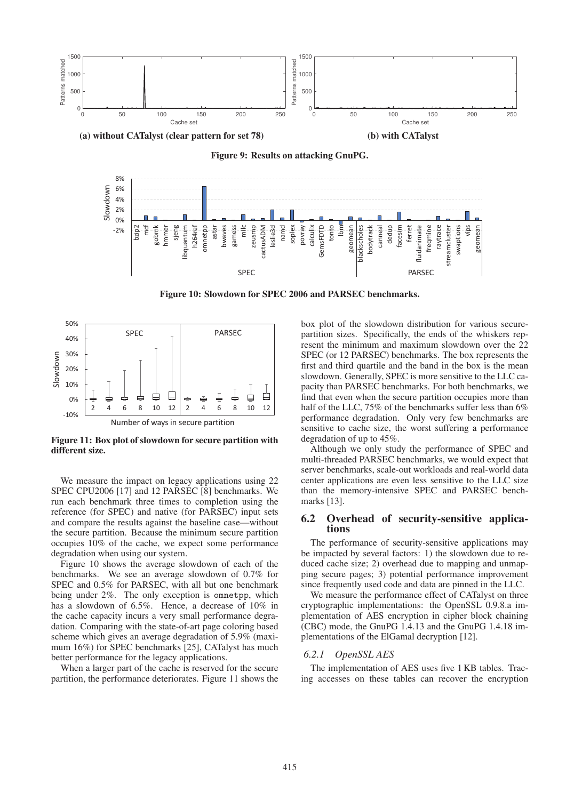

Figure 10: Slowdown for SPEC 2006 and PARSEC benchmarks.



Figure 11: Box plot of slowdown for secure partition with different size.

We measure the impact on legacy applications using 22 SPEC CPU2006 [17] and 12 PARSEC [8] benchmarks. We run each benchmark three times to completion using the reference (for SPEC) and native (for PARSEC) input sets and compare the results against the baseline case—without the secure partition. Because the minimum secure partition occupies 10% of the cache, we expect some performance degradation when using our system.

Figure 10 shows the average slowdown of each of the benchmarks. We see an average slowdown of 0.7% for SPEC and 0.5% for PARSEC, with all but one benchmark being under 2%. The only exception is omnetpp, which has a slowdown of 6.5%. Hence, a decrease of 10% in the cache capacity incurs a very small performance degradation. Comparing with the state-of-art page coloring based scheme which gives an average degradation of 5.9% (maximum 16%) for SPEC benchmarks [25], CATalyst has much better performance for the legacy applications.

When a larger part of the cache is reserved for the secure partition, the performance deteriorates. Figure 11 shows the box plot of the slowdown distribution for various securepartition sizes. Specifically, the ends of the whiskers represent the minimum and maximum slowdown over the 22 SPEC (or 12 PARSEC) benchmarks. The box represents the first and third quartile and the band in the box is the mean slowdown. Generally, SPEC is more sensitive to the LLC capacity than PARSEC benchmarks. For both benchmarks, we find that even when the secure partition occupies more than half of the LLC, 75% of the benchmarks suffer less than 6% performance degradation. Only very few benchmarks are sensitive to cache size, the worst suffering a performance degradation of up to 45%.

Although we only study the performance of SPEC and multi-threaded PARSEC benchmarks, we would expect that server benchmarks, scale-out workloads and real-world data center applications are even less sensitive to the LLC size than the memory-intensive SPEC and PARSEC benchmarks [13].

### 6.2 Overhead of security-sensitive applications

The performance of security-sensitive applications may be impacted by several factors: 1) the slowdown due to reduced cache size; 2) overhead due to mapping and unmapping secure pages; 3) potential performance improvement since frequently used code and data are pinned in the LLC.

We measure the performance effect of CATalyst on three cryptographic implementations: the OpenSSL 0.9.8.a implementation of AES encryption in cipher block chaining (CBC) mode, the GnuPG 1.4.13 and the GnuPG 1.4.18 implementations of the ElGamal decryption [12].

### *6.2.1 OpenSSL AES*

The implementation of AES uses five 1 KB tables. Tracing accesses on these tables can recover the encryption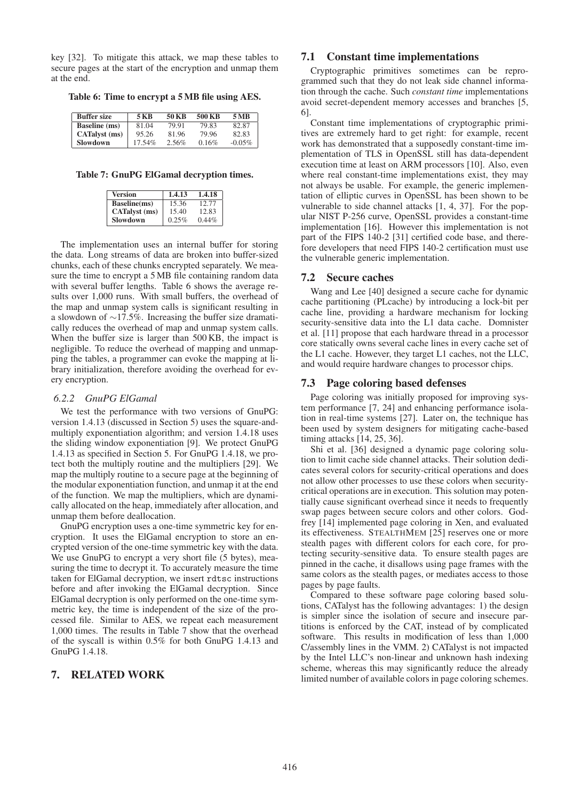key [32]. To mitigate this attack, we map these tables to secure pages at the start of the encryption and unmap them at the end.

#### Table 6: Time to encrypt a 5 MB file using AES.

| <b>Buffer size</b>   | 5 KB   | 50 KB | 500 KB | 5 MB      |
|----------------------|--------|-------|--------|-----------|
| <b>Baseline</b> (ms) | 81.04  | 79.91 | 79.83  | 82.87     |
| <b>CATalyst</b> (ms) | 95.26  | 81.96 | 79.96  | 82.83     |
| Slowdown             | 17.54% | 2.56% | 0.16%  | $-0.05\%$ |

Table 7: GnuPG ElGamal decryption times.

| <b>Version</b>       | 1.4.13 | 1.4.18 |
|----------------------|--------|--------|
| <b>Baseline(ms)</b>  | 15.36  | 12.77  |
| <b>CATalyst</b> (ms) | 15.40  | 12.83  |
| Slowdown             | 0.25%  | 0.44%  |

The implementation uses an internal buffer for storing the data. Long streams of data are broken into buffer-sized chunks, each of these chunks encrypted separately. We measure the time to encrypt a 5 MB file containing random data with several buffer lengths. Table 6 shows the average results over 1,000 runs. With small buffers, the overhead of the map and unmap system calls is significant resulting in a slowdown of ∼17.5%. Increasing the buffer size dramatically reduces the overhead of map and unmap system calls. When the buffer size is larger than 500 KB, the impact is negligible. To reduce the overhead of mapping and unmapping the tables, a programmer can evoke the mapping at library initialization, therefore avoiding the overhead for every encryption.

### *6.2.2 GnuPG ElGamal*

We test the performance with two versions of GnuPG: version 1.4.13 (discussed in Section 5) uses the square-andmultiply exponentiation algorithm; and version 1.4.18 uses the sliding window exponentiation [9]. We protect GnuPG 1.4.13 as specified in Section 5. For GnuPG 1.4.18, we protect both the multiply routine and the multipliers [29]. We map the multiply routine to a secure page at the beginning of the modular exponentiation function, and unmap it at the end of the function. We map the multipliers, which are dynamically allocated on the heap, immediately after allocation, and unmap them before deallocation.

GnuPG encryption uses a one-time symmetric key for encryption. It uses the ElGamal encryption to store an encrypted version of the one-time symmetric key with the data. We use GnuPG to encrypt a very short file (5 bytes), measuring the time to decrypt it. To accurately measure the time taken for ElGamal decryption, we insert rdtsc instructions before and after invoking the ElGamal decryption. Since ElGamal decryption is only performed on the one-time symmetric key, the time is independent of the size of the processed file. Similar to AES, we repeat each measurement 1,000 times. The results in Table 7 show that the overhead of the syscall is within 0.5% for both GnuPG 1.4.13 and GnuPG 1.4.18.

# 7. RELATED WORK

# 7.1 Constant time implementations

Cryptographic primitives sometimes can be reprogrammed such that they do not leak side channel information through the cache. Such *constant time* implementations avoid secret-dependent memory accesses and branches [5, 6].

Constant time implementations of cryptographic primitives are extremely hard to get right: for example, recent work has demonstrated that a supposedly constant-time implementation of TLS in OpenSSL still has data-dependent execution time at least on ARM processors [10]. Also, even where real constant-time implementations exist, they may not always be usable. For example, the generic implementation of elliptic curves in OpenSSL has been shown to be vulnerable to side channel attacks [1, 4, 37]. For the popular NIST P-256 curve, OpenSSL provides a constant-time implementation [16]. However this implementation is not part of the FIPS 140-2 [31] certified code base, and therefore developers that need FIPS 140-2 certification must use the vulnerable generic implementation.

# 7.2 Secure caches

Wang and Lee [40] designed a secure cache for dynamic cache partitioning (PLcache) by introducing a lock-bit per cache line, providing a hardware mechanism for locking security-sensitive data into the L1 data cache. Domnister et al. [11] propose that each hardware thread in a processor core statically owns several cache lines in every cache set of the L1 cache. However, they target L1 caches, not the LLC, and would require hardware changes to processor chips.

# 7.3 Page coloring based defenses

Page coloring was initially proposed for improving system performance [7, 24] and enhancing performance isolation in real-time systems [27]. Later on, the technique has been used by system designers for mitigating cache-based timing attacks [14, 25, 36].

Shi et al. [36] designed a dynamic page coloring solution to limit cache side channel attacks. Their solution dedicates several colors for security-critical operations and does not allow other processes to use these colors when securitycritical operations are in execution. This solution may potentially cause significant overhead since it needs to frequently swap pages between secure colors and other colors. Godfrey [14] implemented page coloring in Xen, and evaluated its effectiveness. STEALTHMEM [25] reserves one or more stealth pages with different colors for each core, for protecting security-sensitive data. To ensure stealth pages are pinned in the cache, it disallows using page frames with the same colors as the stealth pages, or mediates access to those pages by page faults.

Compared to these software page coloring based solutions, CATalyst has the following advantages: 1) the design is simpler since the isolation of secure and insecure partitions is enforced by the CAT, instead of by complicated software. This results in modification of less than 1,000 C/assembly lines in the VMM. 2) CATalyst is not impacted by the Intel LLC's non-linear and unknown hash indexing scheme, whereas this may significantly reduce the already limited number of available colors in page coloring schemes.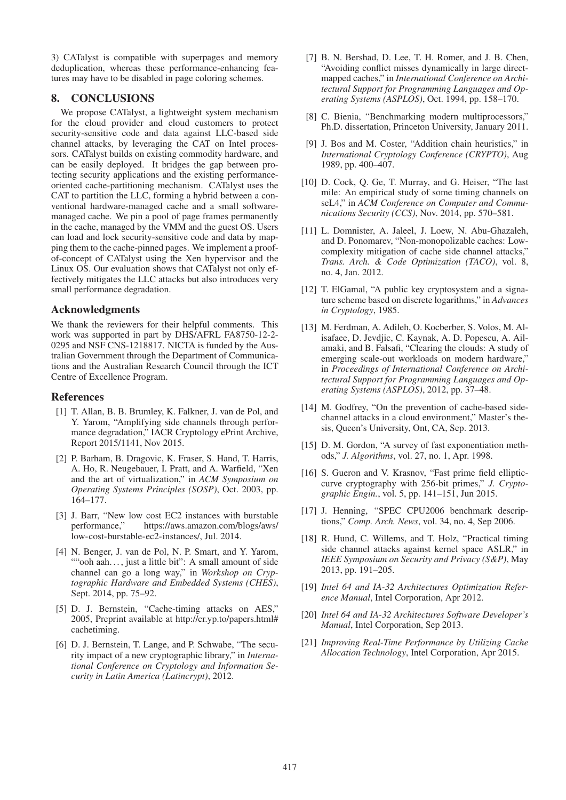3) CATalyst is compatible with superpages and memory deduplication, whereas these performance-enhancing features may have to be disabled in page coloring schemes.

# 8. CONCLUSIONS

We propose CATalyst, a lightweight system mechanism for the cloud provider and cloud customers to protect security-sensitive code and data against LLC-based side channel attacks, by leveraging the CAT on Intel processors. CATalyst builds on existing commodity hardware, and can be easily deployed. It bridges the gap between protecting security applications and the existing performanceoriented cache-partitioning mechanism. CATalyst uses the CAT to partition the LLC, forming a hybrid between a conventional hardware-managed cache and a small softwaremanaged cache. We pin a pool of page frames permanently in the cache, managed by the VMM and the guest OS. Users can load and lock security-sensitive code and data by mapping them to the cache-pinned pages. We implement a proofof-concept of CATalyst using the Xen hypervisor and the Linux OS. Our evaluation shows that CATalyst not only effectively mitigates the LLC attacks but also introduces very small performance degradation.

# Acknowledgments

We thank the reviewers for their helpful comments. This work was supported in part by DHS/AFRL FA8750-12-2- 0295 and NSF CNS-1218817. NICTA is funded by the Australian Government through the Department of Communications and the Australian Research Council through the ICT Centre of Excellence Program.

# References

- [1] T. Allan, B. B. Brumley, K. Falkner, J. van de Pol, and Y. Yarom, "Amplifying side channels through performance degradation," IACR Cryptology ePrint Archive, Report 2015/1141, Nov 2015.
- [2] P. Barham, B. Dragovic, K. Fraser, S. Hand, T. Harris, A. Ho, R. Neugebauer, I. Pratt, and A. Warfield, "Xen and the art of virtualization," in *ACM Symposium on Operating Systems Principles (SOSP)*, Oct. 2003, pp. 164–177.
- [3] J. Barr, "New low cost EC2 instances with burstable performance." https://aws.amazon.com/blogs/aws/ https://aws.amazon.com/blogs/aws/ low-cost-burstable-ec2-instances/, Jul. 2014.
- [4] N. Benger, J. van de Pol, N. P. Smart, and Y. Yarom, ""ooh aah..., just a little bit": A small amount of side channel can go a long way," in *Workshop on Cryptographic Hardware and Embedded Systems (CHES)*, Sept. 2014, pp. 75–92.
- [5] D. J. Bernstein, "Cache-timing attacks on AES," 2005, Preprint available at http://cr.yp.to/papers.html# cachetiming.
- [6] D. J. Bernstein, T. Lange, and P. Schwabe, "The security impact of a new cryptographic library," in *International Conference on Cryptology and Information Security in Latin America (Latincrypt)*, 2012.
- [7] B. N. Bershad, D. Lee, T. H. Romer, and J. B. Chen, "Avoiding conflict misses dynamically in large directmapped caches," in *International Conference on Architectural Support for Programming Languages and Operating Systems (ASPLOS)*, Oct. 1994, pp. 158–170.
- [8] C. Bienia, "Benchmarking modern multiprocessors," Ph.D. dissertation, Princeton University, January 2011.
- [9] J. Bos and M. Coster, "Addition chain heuristics," in *International Cryptology Conference (CRYPTO)*, Aug 1989, pp. 400–407.
- [10] D. Cock, Q. Ge, T. Murray, and G. Heiser, "The last mile: An empirical study of some timing channels on seL4," in *ACM Conference on Computer and Communications Security (CCS)*, Nov. 2014, pp. 570–581.
- [11] L. Domnister, A. Jaleel, J. Loew, N. Abu-Ghazaleh, and D. Ponomarev, "Non-monopolizable caches: Lowcomplexity mitigation of cache side channel attacks," *Trans. Arch. & Code Optimization (TACO)*, vol. 8, no. 4, Jan. 2012.
- [12] T. ElGamal, "A public key cryptosystem and a signature scheme based on discrete logarithms," in *Advances in Cryptology*, 1985.
- [13] M. Ferdman, A. Adileh, O. Kocberber, S. Volos, M. Alisafaee, D. Jevdjic, C. Kaynak, A. D. Popescu, A. Ailamaki, and B. Falsafi, "Clearing the clouds: A study of emerging scale-out workloads on modern hardware," in *Proceedings of International Conference on Architectural Support for Programming Languages and Operating Systems (ASPLOS)*, 2012, pp. 37–48.
- [14] M. Godfrey, "On the prevention of cache-based sidechannel attacks in a cloud environment," Master's thesis, Queen's University, Ont, CA, Sep. 2013.
- [15] D. M. Gordon, "A survey of fast exponentiation methods," *J. Algorithms*, vol. 27, no. 1, Apr. 1998.
- [16] S. Gueron and V. Krasnov, "Fast prime field ellipticcurve cryptography with 256-bit primes," *J. Cryptographic Engin.*, vol. 5, pp. 141–151, Jun 2015.
- [17] J. Henning, "SPEC CPU2006 benchmark descriptions," *Comp. Arch. News*, vol. 34, no. 4, Sep 2006.
- [18] R. Hund, C. Willems, and T. Holz, "Practical timing side channel attacks against kernel space ASLR," in *IEEE Symposium on Security and Privacy (S&P)*, May 2013, pp. 191–205.
- [19] *Intel 64 and IA-32 Architectures Optimization Reference Manual*, Intel Corporation, Apr 2012.
- [20] *Intel 64 and IA-32 Architectures Software Developer's Manual*, Intel Corporation, Sep 2013.
- [21] *Improving Real-Time Performance by Utilizing Cache Allocation Technology*, Intel Corporation, Apr 2015.